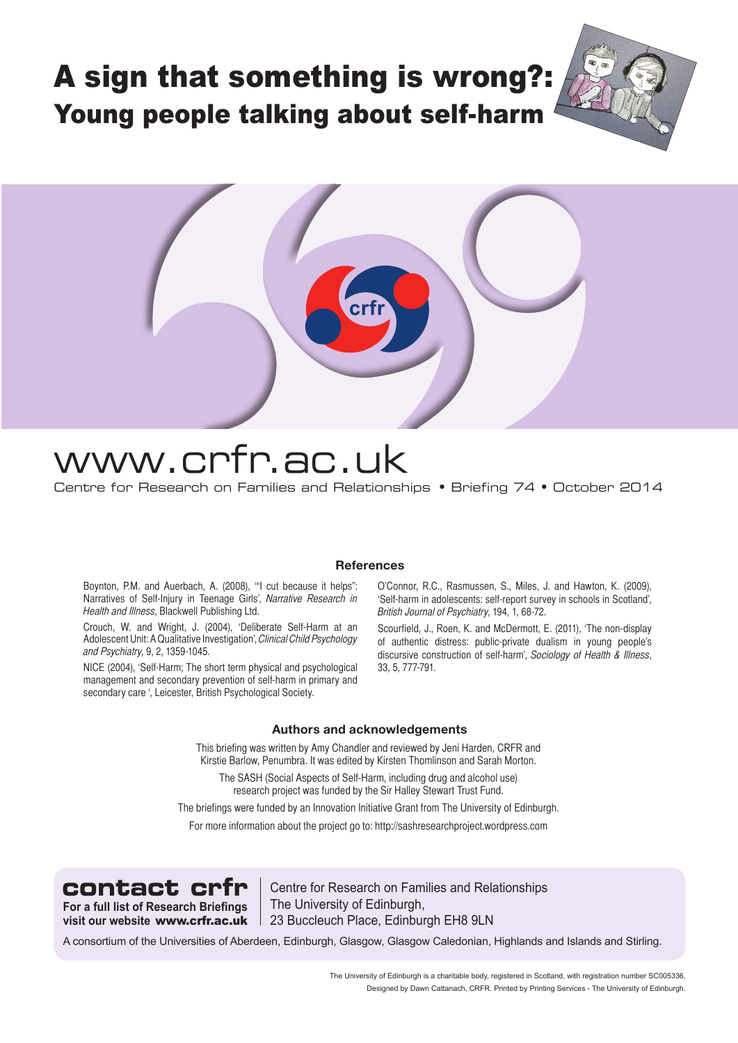# A sign that something is wrong?: Young people talking about self-harm



# www.crfr.ac.uk

Centre for Research on Families and Relationships • Briefing 74 • October 2014

# **References**

Boynton, P.M. and Auerbach, A. (2008), '"I cut because it helps": Narratives of Self-Injury in Teenage Girls', Narrative Research in Health and Illness, Blackwell Publishing Ltd.

Crouch, W. and Wright, J. (2004), 'Deliberate Self-Harm at an Adolescent Unit: A Qualitative Investigation', Clinical Child Psychology and Psychiatry, 9, 2, 1359-1045.

NICE (2004), 'Self-Harm; The short term physical and psychological management and secondary prevention of self-harm in primary and secondary care ', Leicester, British Psychological Society.

O'Connor, R.C., Rasmussen, S., Miles, J. and Hawton, K. (2009), 'Self-harm in adolescents: self-report survey in schools in Scotland', British Journal of Psychiatry, 194, 1, 68-72.

Scourfield, J., Roen, K. and McDermott, E. (2011), 'The non-display of authentic distress: public-private dualism in young people's discursive construction of self-harm', Sociology of Health & Illness, 33, 5, 777-791.

#### **Authors and acknowledgements**

This briefing was written by Amy Chandler and reviewed by Jeni Harden, CRFR and Kirstie Barlow, Penumbra. It was edited by Kirsten Thomlinson and Sarah Morton.

The SASH (Social Aspects of Self-Harm, including drug and alcohol use) research project was funded by the Sir Halley Stewart Trust Fund.

The briefings were funded by an Innovation Initiative Grant from The University of Edinburgh.

For more information about the project go to: http://sashresearchproject.wordpress.com



contact crfr | Centre for Research on Families and Relationships The University of Edinburgh, 23 Buccleuch Place, Edinburgh EH8 9LN

A consortium of the Universities of Aberdeen, Edinburgh, Glasgow, Glasgow Caledonian, Highlands and Islands and Stirling.

The University of Edinburgh is a charitable body, registered in Scotland, with registration number SC005336. Designed by Dawn Cattanach, CRFR. Printed by Printing Services - The University of Edinburgh.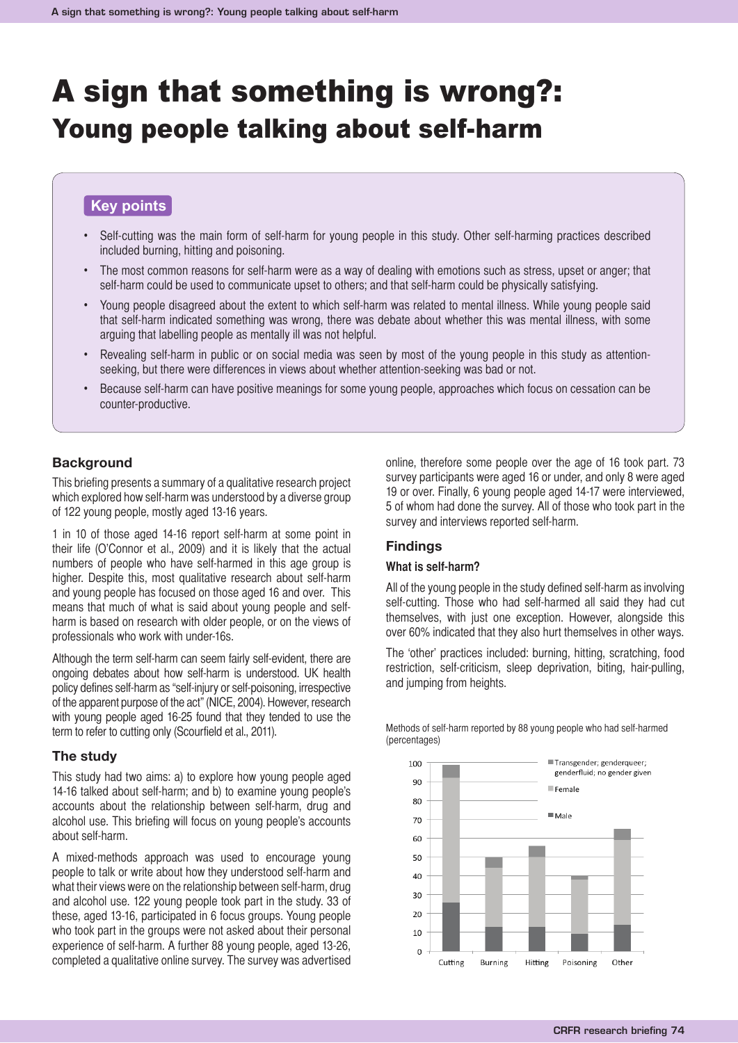# A sign that something is wrong?: Young people talking about self-harm

# **Key points**

- Self-cutting was the main form of self-harm for young people in this study. Other self-harming practices described included burning, hitting and poisoning.
- The most common reasons for self-harm were as a way of dealing with emotions such as stress, upset or anger; that self-harm could be used to communicate upset to others; and that self-harm could be physically satisfying.
- Young people disagreed about the extent to which self-harm was related to mental illness. While young people said that self-harm indicated something was wrong, there was debate about whether this was mental illness, with some arguing that labelling people as mentally ill was not helpful.
- Revealing self-harm in public or on social media was seen by most of the young people in this study as attentionseeking, but there were differences in views about whether attention-seeking was bad or not.
- Because self-harm can have positive meanings for some young people, approaches which focus on cessation can be counter-productive.

#### **Background**

This briefing presents a summary of a qualitative research project which explored how self-harm was understood by a diverse group of 122 young people, mostly aged 13-16 years.

1 in 10 of those aged 14-16 report self-harm at some point in their life (O'Connor et al., 2009) and it is likely that the actual numbers of people who have self-harmed in this age group is higher. Despite this, most qualitative research about self-harm and young people has focused on those aged 16 and over. This means that much of what is said about young people and selfharm is based on research with older people, or on the views of professionals who work with under-16s.

Although the term self-harm can seem fairly self-evident, there are ongoing debates about how self-harm is understood. UK health policy defines self-harm as "self-injury or self-poisoning, irrespective of the apparent purpose of the act" (NICE, 2004). However, research with young people aged 16-25 found that they tended to use the term to refer to cutting only (Scourfield et al., 2011).

#### **The study**

This study had two aims: a) to explore how young people aged 14-16 talked about self-harm; and b) to examine young people's accounts about the relationship between self-harm, drug and alcohol use. This briefing will focus on young people's accounts about self-harm.

A mixed-methods approach was used to encourage young people to talk or write about how they understood self-harm and what their views were on the relationship between self-harm, drug and alcohol use. 122 young people took part in the study. 33 of these, aged 13-16, participated in 6 focus groups. Young people who took part in the groups were not asked about their personal experience of self-harm. A further 88 young people, aged 13-26, completed a qualitative online survey. The survey was advertised

online, therefore some people over the age of 16 took part. 73 survey participants were aged 16 or under, and only 8 were aged 19 or over. Finally, 6 young people aged 14-17 were interviewed, 5 of whom had done the survey. All of those who took part in the survey and interviews reported self-harm.

# **Findings**

#### **What is self-harm?**

All of the young people in the study defined self-harm as involving self-cutting. Those who had self-harmed all said they had cut themselves, with just one exception. However, alongside this over 60% indicated that they also hurt themselves in other ways.

The 'other' practices included: burning, hitting, scratching, food restriction, self-criticism, sleep deprivation, biting, hair-pulling, and jumping from heights.



Methods of self-harm reported by 88 young people who had self-harmed (percentages)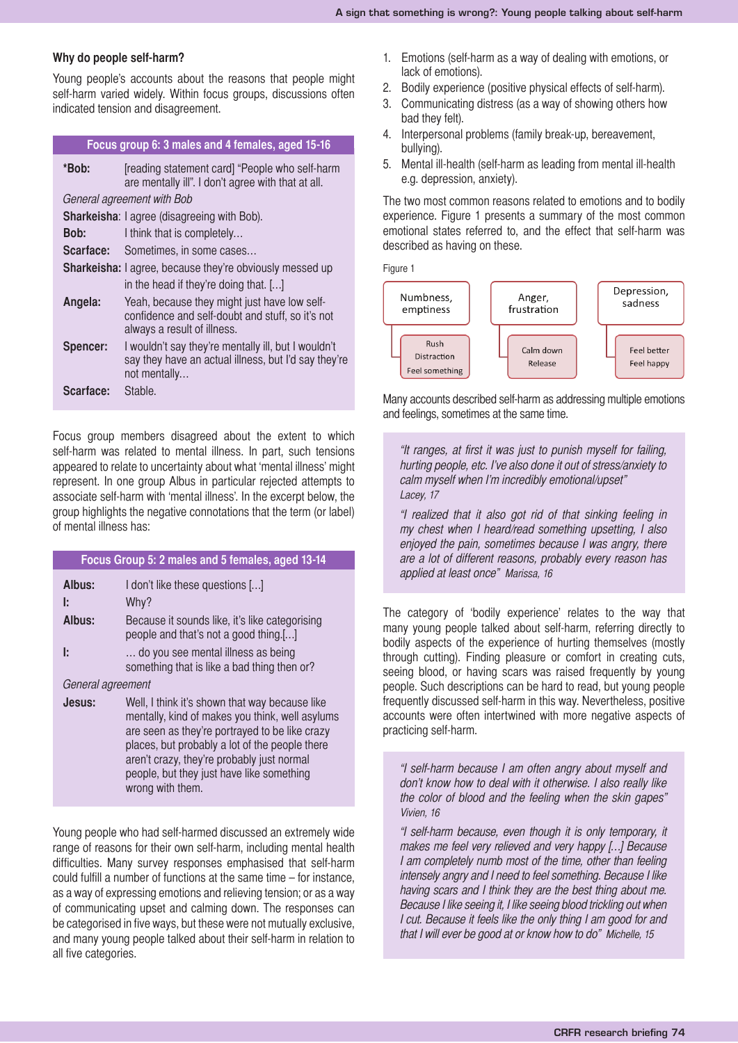#### **Why do people self-harm?**

Young people's accounts about the reasons that people might self-harm varied widely. Within focus groups, discussions often indicated tension and disagreement.

### **Focus group 6: 3 males and 4 females, aged 15-16**

| *Bob:                      | [reading statement card] "People who self-harm<br>are mentally ill". I don't agree with that at all.                            |  |
|----------------------------|---------------------------------------------------------------------------------------------------------------------------------|--|
| General agreement with Bob |                                                                                                                                 |  |
|                            | <b>Sharkeisha: I agree (disagreeing with Bob).</b>                                                                              |  |
| Bob:                       | I think that is completely                                                                                                      |  |
| Scarface:                  | Sometimes, in some cases                                                                                                        |  |
|                            | <b>Sharkeisha:</b> I agree, because they're obviously messed up                                                                 |  |
|                            | in the head if they're doing that. []                                                                                           |  |
| Angela:                    | Yeah, because they might just have low self-<br>confidence and self-doubt and stuff, so it's not<br>always a result of illness. |  |
| Spencer:                   | I wouldn't say they're mentally ill, but I wouldn't<br>say they have an actual illness, but I'd say they're<br>not mentally     |  |
| Scarface:                  | Stable.                                                                                                                         |  |

Focus group members disagreed about the extent to which self-harm was related to mental illness. In part, such tensions appeared to relate to uncertainty about what 'mental illness' might represent. In one group Albus in particular rejected attempts to associate self-harm with 'mental illness'. In the excerpt below, the group highlights the negative connotations that the term (or label) of mental illness has:

| Focus Group 5: 2 males and 5 females, aged 13-14 |                                                                                                                                                                                                                                                                                                                      |
|--------------------------------------------------|----------------------------------------------------------------------------------------------------------------------------------------------------------------------------------------------------------------------------------------------------------------------------------------------------------------------|
| Albus:                                           | I don't like these questions []                                                                                                                                                                                                                                                                                      |
| Ŀ                                                | Why?                                                                                                                                                                                                                                                                                                                 |
| Albus:                                           | Because it sounds like, it's like categorising<br>people and that's not a good thing.[]                                                                                                                                                                                                                              |
| Ŀ                                                | do you see mental illness as being<br>something that is like a bad thing then or?                                                                                                                                                                                                                                    |
| General agreement                                |                                                                                                                                                                                                                                                                                                                      |
| Jesus:                                           | Well, I think it's shown that way because like<br>mentally, kind of makes you think, well asylums<br>are seen as they're portrayed to be like crazy<br>places, but probably a lot of the people there<br>aren't crazy, they're probably just normal<br>people, but they just have like something<br>wrong with them. |

Young people who had self-harmed discussed an extremely wide range of reasons for their own self-harm, including mental health difficulties. Many survey responses emphasised that self-harm could fulfill a number of functions at the same time – for instance, as a way of expressing emotions and relieving tension; or as a way of communicating upset and calming down. The responses can be categorised in five ways, but these were not mutually exclusive, and many young people talked about their self-harm in relation to all five categories.

- 1. Emotions (self-harm as a way of dealing with emotions, or lack of emotions).
- 2. Bodily experience (positive physical effects of self-harm).
- 3. Communicating distress (as a way of showing others how bad they felt).
- 4. Interpersonal problems (family break-up, bereavement, bullying).
- 5. Mental ill-health (self-harm as leading from mental ill-health e.g. depression, anxiety).

The two most common reasons related to emotions and to bodily experience. Figure 1 presents a summary of the most common emotional states referred to, and the effect that self-harm was described as having on these.

Figure 1



Many accounts described self-harm as addressing multiple emotions and feelings, sometimes at the same time.

"It ranges, at first it was just to punish myself for failing, hurting people, etc. I've also done it out of stress/anxiety to calm myself when I'm incredibly emotional/upset" Lacey, 17

"I realized that it also got rid of that sinking feeling in my chest when I heard/read something upsetting, I also enjoyed the pain, sometimes because I was angry, there are a lot of different reasons, probably every reason has applied at least once" Marissa, 16

The category of 'bodily experience' relates to the way that many young people talked about self-harm, referring directly to bodily aspects of the experience of hurting themselves (mostly through cutting). Finding pleasure or comfort in creating cuts, seeing blood, or having scars was raised frequently by young people. Such descriptions can be hard to read, but young people frequently discussed self-harm in this way. Nevertheless, positive accounts were often intertwined with more negative aspects of practicing self-harm.

"I self-harm because I am often angry about myself and don't know how to deal with it otherwise. I also really like the color of blood and the feeling when the skin gapes" Vivien, 16

"I self-harm because, even though it is only temporary, it makes me feel very relieved and very happy […] Because I am completely numb most of the time, other than feeling intensely angry and I need to feel something. Because I like having scars and I think they are the best thing about me. Because I like seeing it, I like seeing blood trickling out when I cut. Because it feels like the only thing I am good for and that I will ever be good at or know how to do" Michelle, 15